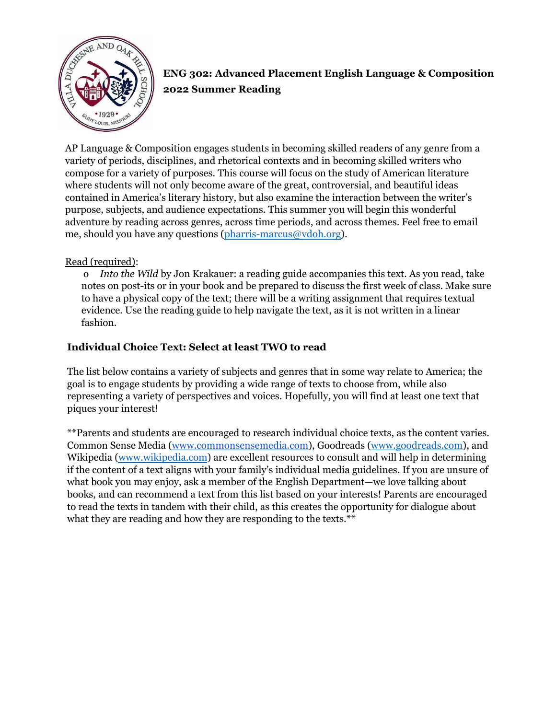

# **ENG 302: Advanced Placement English Language & Composition 2022 Summer Reading**

AP Language & Composition engages students in becoming skilled readers of any genre from a variety of periods, disciplines, and rhetorical contexts and in becoming skilled writers who compose for a variety of purposes. This course will focus on the study of American literature where students will not only become aware of the great, controversial, and beautiful ideas contained in America's literary history, but also examine the interaction between the writer's purpose, subjects, and audience expectations. This summer you will begin this wonderful adventure by reading across genres, across time periods, and across themes. Feel free to email me, should you have any questions [\(pharris-marcus@vdoh.org\)](mailto:pharris-marcus@vdoh.org).

#### Read (required):

o *Into the Wild* by Jon Krakauer: a reading guide accompanies this text. As you read, take notes on post-its or in your book and be prepared to discuss the first week of class. Make sure to have a physical copy of the text; there will be a writing assignment that requires textual evidence. Use the reading guide to help navigate the text, as it is not written in a linear fashion.

### **Individual Choice Text: Select at least TWO to read**

The list below contains a variety of subjects and genres that in some way relate to America; the goal is to engage students by providing a wide range of texts to choose from, while also representing a variety of perspectives and voices. Hopefully, you will find at least one text that piques your interest!

\*\*Parents and students are encouraged to research individual choice texts, as the content varies. Common Sense Media [\(www.commonsensemedia.com\)](http://www.commonsensemedia.com), Goodreads ([www.goodreads.com\)](http://www.goodreads.com), and Wikipedia [\(www.wikipedia.com](http://www.wikipedia.com)) are excellent resources to consult and will help in determining if the content of a text aligns with your family's individual media guidelines. If you are unsure of what book you may enjoy, ask a member of the English Department—we love talking about books, and can recommend a text from this list based on your interests! Parents are encouraged to read the texts in tandem with their child, as this creates the opportunity for dialogue about what they are reading and how they are responding to the texts.\*\*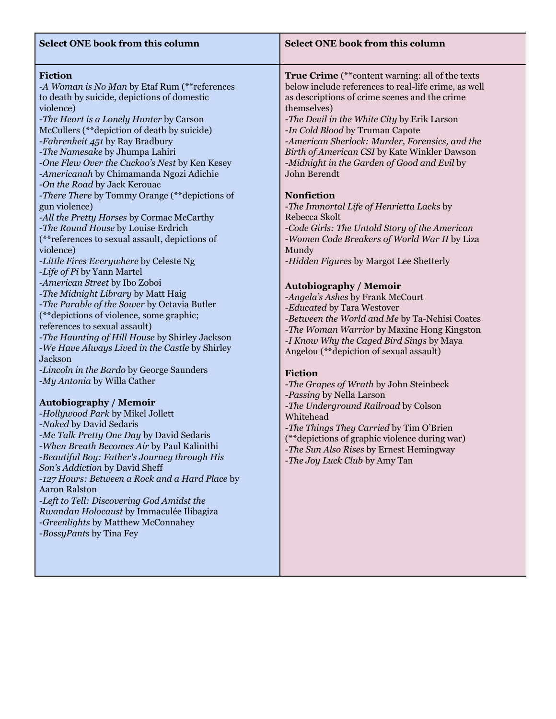| <b>Select ONE book from this column</b>                                                                                                                                                                                                                                                                                                                                                                                                                                                                                                                                                                                                                                                                                                                                                                                                                                                                                                                                                                                                                                                                                                                                                                                                                                                                                                                                                                                                                                                                                                                        | <b>Select ONE book from this column</b>                                                                                                                                                                                                                                                                                                                                                                                                                                                                                                                                                                                                                                                                                                                                                                                                                                                                                                                                                                                                                                                                                                                                                                                                                                        |
|----------------------------------------------------------------------------------------------------------------------------------------------------------------------------------------------------------------------------------------------------------------------------------------------------------------------------------------------------------------------------------------------------------------------------------------------------------------------------------------------------------------------------------------------------------------------------------------------------------------------------------------------------------------------------------------------------------------------------------------------------------------------------------------------------------------------------------------------------------------------------------------------------------------------------------------------------------------------------------------------------------------------------------------------------------------------------------------------------------------------------------------------------------------------------------------------------------------------------------------------------------------------------------------------------------------------------------------------------------------------------------------------------------------------------------------------------------------------------------------------------------------------------------------------------------------|--------------------------------------------------------------------------------------------------------------------------------------------------------------------------------------------------------------------------------------------------------------------------------------------------------------------------------------------------------------------------------------------------------------------------------------------------------------------------------------------------------------------------------------------------------------------------------------------------------------------------------------------------------------------------------------------------------------------------------------------------------------------------------------------------------------------------------------------------------------------------------------------------------------------------------------------------------------------------------------------------------------------------------------------------------------------------------------------------------------------------------------------------------------------------------------------------------------------------------------------------------------------------------|
| Fiction<br>-A Woman is No Man by Etaf Rum (** references<br>to death by suicide, depictions of domestic<br>violence)<br>-The Heart is a Lonely Hunter by Carson<br>McCullers (**depiction of death by suicide)<br>-Fahrenheit 451 by Ray Bradbury<br>-The Namesake by Jhumpa Lahiri<br>-One Flew Over the Cuckoo's Nest by Ken Kesey<br>-Americanah by Chimamanda Ngozi Adichie<br>-On the Road by Jack Kerouac<br>-There There by Tommy Orange (**depictions of<br>gun violence)<br>-All the Pretty Horses by Cormac McCarthy<br>-The Round House by Louise Erdrich<br>(**references to sexual assault, depictions of<br>violence)<br>-Little Fires Everywhere by Celeste Ng<br>-Life of Pi by Yann Martel<br>-American Street by Ibo Zoboi<br>-The Midnight Library by Matt Haig<br>-The Parable of the Sower by Octavia Butler<br>(**depictions of violence, some graphic;<br>references to sexual assault)<br>-The Haunting of Hill House by Shirley Jackson<br>-We Have Always Lived in the Castle by Shirley<br><b>Jackson</b><br>-Lincoln in the Bardo by George Saunders<br>-My Antonia by Willa Cather<br><b>Autobiography / Memoir</b><br>-Hollywood Park by Mikel Jollett<br>-Naked by David Sedaris<br>-Me Talk Pretty One Day by David Sedaris<br>-When Breath Becomes Air by Paul Kalinithi<br>-Beautiful Boy: Father's Journey through His<br>Son's Addiction by David Sheff<br>-127 Hours: Between a Rock and a Hard Place by<br><b>Aaron Ralston</b><br>-Left to Tell: Discovering God Amidst the<br>Rwandan Holocaust by Immaculée Ilibagiza | <b>True Crime</b> (**content warning: all of the texts<br>below include references to real-life crime, as well<br>as descriptions of crime scenes and the crime<br>themselves)<br>-The Devil in the White City by Erik Larson<br>-In Cold Blood by Truman Capote<br>-American Sherlock: Murder, Forensics, and the<br>Birth of American CSI by Kate Winkler Dawson<br>-Midnight in the Garden of Good and Evil by<br>John Berendt<br><b>Nonfiction</b><br>-The Immortal Life of Henrietta Lacks by<br>Rebecca Skolt<br>-Code Girls: The Untold Story of the American<br>-Women Code Breakers of World War II by Liza<br>Mundy<br>-Hidden Figures by Margot Lee Shetterly<br><b>Autobiography / Memoir</b><br>-Angela's Ashes by Frank McCourt<br>-Educated by Tara Westover<br>-Between the World and Me by Ta-Nehisi Coates<br>-The Woman Warrior by Maxine Hong Kingston<br>-I Know Why the Caged Bird Sings by Maya<br>Angelou (**depiction of sexual assault)<br>Fiction<br>-The Grapes of Wrath by John Steinbeck<br>-Passing by Nella Larson<br>-The Underground Railroad by Colson<br>Whitehead<br>-The Things They Carried by Tim O'Brien<br>(**depictions of graphic violence during war)<br>-The Sun Also Rises by Ernest Hemingway<br>-The Joy Luck Club by Amy Tan |

*-Greenlights* by Matthew McConnahey

*-BossyPants* by Tina Fey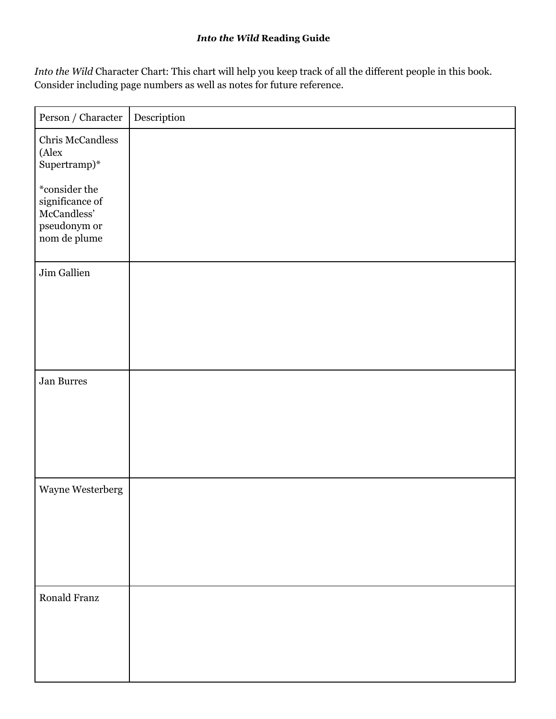### *Into the Wild* **Reading Guide**

*Into the Wild* Character Chart: This chart will help you keep track of all the different people in this book. Consider including page numbers as well as notes for future reference.

| $\ensuremath{\mathit{Person}}$ / $\ensuremath{\mathit{Character}}$                                      | Description |
|---------------------------------------------------------------------------------------------------------|-------------|
| Chris McCandless<br>(Alex<br>Supertramp)*                                                               |             |
| $\displaystyle{^*}$ consider the<br>significance of<br>McCandless'<br>$\,$ pseudonym or<br>nom de plume |             |
| Jim Gallien                                                                                             |             |
| Jan Burres                                                                                              |             |
| Wayne Westerberg                                                                                        |             |
| Ronald Franz                                                                                            |             |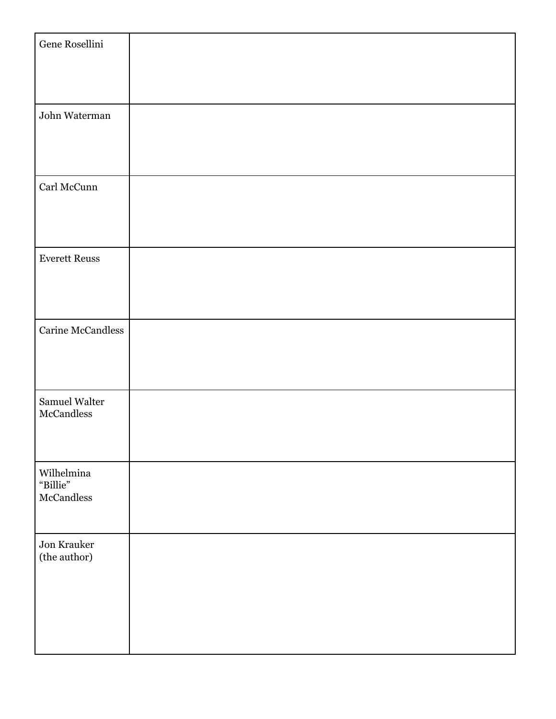| Gene Rosellini                                   |  |
|--------------------------------------------------|--|
| John Waterman                                    |  |
| Carl McCunn                                      |  |
| <b>Everett Reuss</b>                             |  |
| Carine McCandless                                |  |
| Samuel Walter<br>McCandless                      |  |
| Wilhelmina<br>"Billie"<br>$\rm{McC}\rm{andless}$ |  |
| Jon Krauker<br>(the author)                      |  |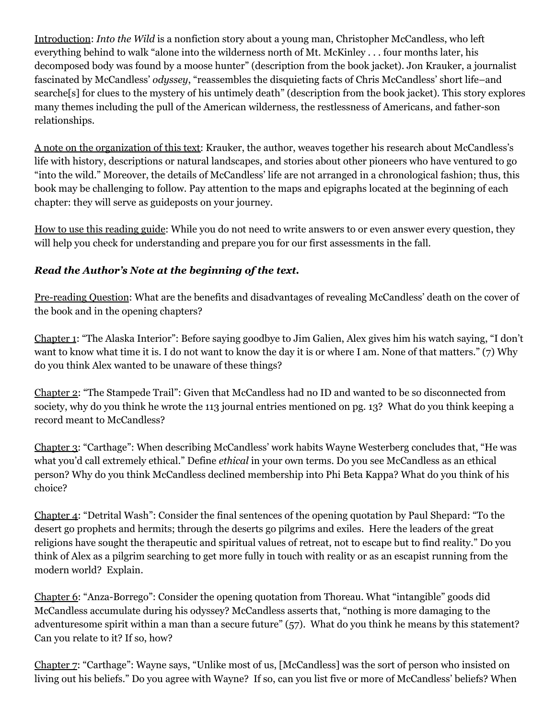Introduction: *Into the Wild* is a nonfiction story about a young man, Christopher McCandless, who left everything behind to walk "alone into the wilderness north of Mt. McKinley . . . four months later, his decomposed body was found by a moose hunter" (description from the book jacket). Jon Krauker, a journalist fascinated by McCandless' *odyssey*, "reassembles the disquieting facts of Chris McCandless' short life–and searche[s] for clues to the mystery of his untimely death" (description from the book jacket). This story explores many themes including the pull of the American wilderness, the restlessness of Americans, and father-son relationships.

A note on the organization of this text: Krauker, the author, weaves together his research about McCandless's life with history, descriptions or natural landscapes, and stories about other pioneers who have ventured to go "into the wild." Moreover, the details of McCandless' life are not arranged in a chronological fashion; thus, this book may be challenging to follow. Pay attention to the maps and epigraphs located at the beginning of each chapter: they will serve as guideposts on your journey.

How to use this reading guide: While you do not need to write answers to or even answer every question, they will help you check for understanding and prepare you for our first assessments in the fall.

## *Read the Author's Note at the beginning of the text.*

Pre-reading Question: What are the benefits and disadvantages of revealing McCandless' death on the cover of the book and in the opening chapters?

Chapter 1: "The Alaska Interior": Before saying goodbye to Jim Galien, Alex gives him his watch saying, "I don't want to know what time it is. I do not want to know the day it is or where I am. None of that matters." (7) Why do you think Alex wanted to be unaware of these things?

Chapter 2: "The Stampede Trail": Given that McCandless had no ID and wanted to be so disconnected from society, why do you think he wrote the 113 journal entries mentioned on pg. 13? What do you think keeping a record meant to McCandless?

Chapter 3: "Carthage": When describing McCandless' work habits Wayne Westerberg concludes that, "He was what you'd call extremely ethical." Define *ethical* in your own terms. Do you see McCandless as an ethical person? Why do you think McCandless declined membership into Phi Beta Kappa? What do you think of his choice?

Chapter 4: "Detrital Wash": Consider the final sentences of the opening quotation by Paul Shepard: "To the desert go prophets and hermits; through the deserts go pilgrims and exiles. Here the leaders of the great religions have sought the therapeutic and spiritual values of retreat, not to escape but to find reality." Do you think of Alex as a pilgrim searching to get more fully in touch with reality or as an escapist running from the modern world? Explain.

Chapter 6: "Anza-Borrego": Consider the opening quotation from Thoreau. What "intangible" goods did McCandless accumulate during his odyssey? McCandless asserts that, "nothing is more damaging to the adventuresome spirit within a man than a secure future" (57). What do you think he means by this statement? Can you relate to it? If so, how?

Chapter 7: "Carthage": Wayne says, "Unlike most of us, [McCandless] was the sort of person who insisted on living out his beliefs." Do you agree with Wayne? If so, can you list five or more of McCandless' beliefs? When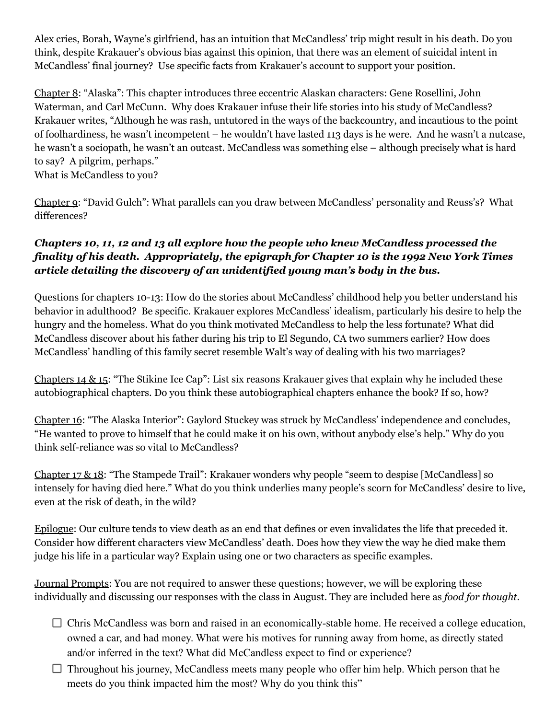Alex cries, Borah, Wayne's girlfriend, has an intuition that McCandless' trip might result in his death. Do you think, despite Krakauer's obvious bias against this opinion, that there was an element of suicidal intent in McCandless' final journey? Use specific facts from Krakauer's account to support your position.

Chapter 8: "Alaska": This chapter introduces three eccentric Alaskan characters: Gene Rosellini, John Waterman, and Carl McCunn. Why does Krakauer infuse their life stories into his study of McCandless? Krakauer writes, "Although he was rash, untutored in the ways of the backcountry, and incautious to the point of foolhardiness, he wasn't incompetent – he wouldn't have lasted 113 days is he were. And he wasn't a nutcase, he wasn't a sociopath, he wasn't an outcast. McCandless was something else – although precisely what is hard to say? A pilgrim, perhaps." What is McCandless to you?

Chapter 9: "David Gulch": What parallels can you draw between McCandless' personality and Reuss's? What differences?

## *Chapters 10, 11, 12 and 13 all explore how the people who knew McCandless processed the finality of his death. Appropriately, the epigraph for Chapter 10 is the 1992 New York Times article detailing the discovery of an unidentified young man's body in the bus.*

Questions for chapters 10-13: How do the stories about McCandless' childhood help you better understand his behavior in adulthood? Be specific. Krakauer explores McCandless' idealism, particularly his desire to help the hungry and the homeless. What do you think motivated McCandless to help the less fortunate? What did McCandless discover about his father during his trip to El Segundo, CA two summers earlier? How does McCandless' handling of this family secret resemble Walt's way of dealing with his two marriages?

Chapters 14 & 15: "The Stikine Ice Cap": List six reasons Krakauer gives that explain why he included these autobiographical chapters. Do you think these autobiographical chapters enhance the book? If so, how?

Chapter 16: "The Alaska Interior": Gaylord Stuckey was struck by McCandless' independence and concludes, "He wanted to prove to himself that he could make it on his own, without anybody else's help." Why do you think self-reliance was so vital to McCandless?

Chapter 17 & 18: "The Stampede Trail": Krakauer wonders why people "seem to despise [McCandless] so intensely for having died here." What do you think underlies many people's scorn for McCandless' desire to live, even at the risk of death, in the wild?

Epilogue: Our culture tends to view death as an end that defines or even invalidates the life that preceded it. Consider how different characters view McCandless' death. Does how they view the way he died make them judge his life in a particular way? Explain using one or two characters as specific examples.

Journal Prompts: You are not required to answer these questions; however, we will be exploring these individually and discussing our responses with the class in August. They are included here as *food for thought*.

- $\Box$  Chris McCandless was born and raised in an economically-stable home. He received a college education, owned a car, and had money. What were his motives for running away from home, as directly stated and/or inferred in the text? What did McCandless expect to find or experience?
- $\Box$  Throughout his journey, McCandless meets many people who offer him help. Which person that he meets do you think impacted him the most? Why do you think this"